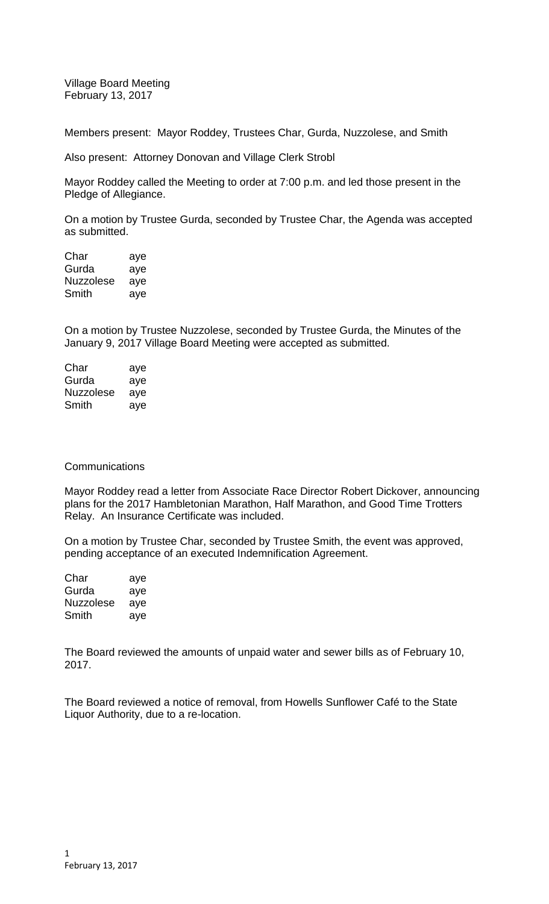Village Board Meeting February 13, 2017

Members present: Mayor Roddey, Trustees Char, Gurda, Nuzzolese, and Smith

Also present: Attorney Donovan and Village Clerk Strobl

Mayor Roddey called the Meeting to order at 7:00 p.m. and led those present in the Pledge of Allegiance.

On a motion by Trustee Gurda, seconded by Trustee Char, the Agenda was accepted as submitted.

Char aye Gurda aye Nuzzolese aye Smith aye

On a motion by Trustee Nuzzolese, seconded by Trustee Gurda, the Minutes of the January 9, 2017 Village Board Meeting were accepted as submitted.

| Char      | aye |
|-----------|-----|
| Gurda     | aye |
| Nuzzolese | aye |
| Smith     | ave |

## **Communications**

Mayor Roddey read a letter from Associate Race Director Robert Dickover, announcing plans for the 2017 Hambletonian Marathon, Half Marathon, and Good Time Trotters Relay. An Insurance Certificate was included.

On a motion by Trustee Char, seconded by Trustee Smith, the event was approved, pending acceptance of an executed Indemnification Agreement.

| Char      | aye |
|-----------|-----|
| Gurda     | aye |
| Nuzzolese | aye |
| Smith     | aye |

The Board reviewed the amounts of unpaid water and sewer bills as of February 10, 2017.

The Board reviewed a notice of removal, from Howells Sunflower Café to the State Liquor Authority, due to a re-location.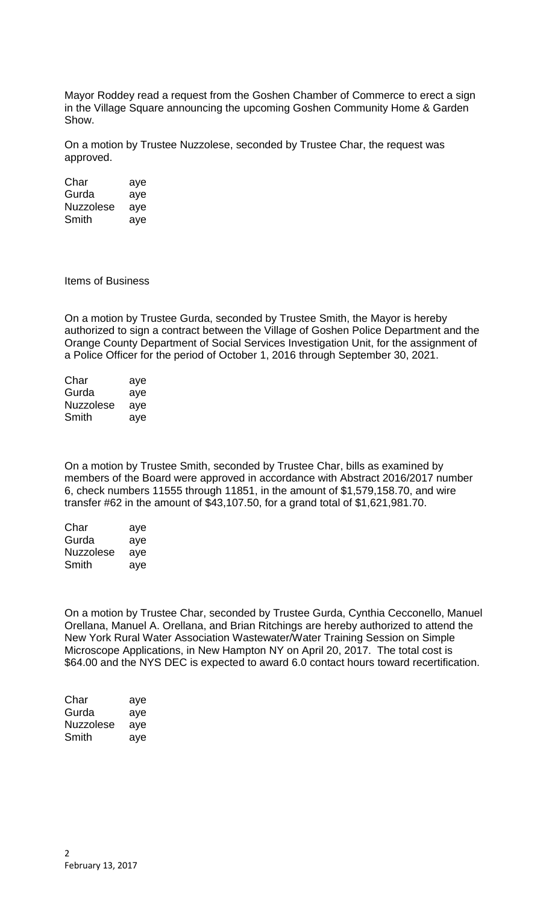Mayor Roddey read a request from the Goshen Chamber of Commerce to erect a sign in the Village Square announcing the upcoming Goshen Community Home & Garden Show.

On a motion by Trustee Nuzzolese, seconded by Trustee Char, the request was approved.

Char aye Gurda aye Nuzzolese aye Smith aye

Items of Business

On a motion by Trustee Gurda, seconded by Trustee Smith, the Mayor is hereby authorized to sign a contract between the Village of Goshen Police Department and the Orange County Department of Social Services Investigation Unit, for the assignment of a Police Officer for the period of October 1, 2016 through September 30, 2021.

| Char      | aye |
|-----------|-----|
| Gurda     | aye |
| Nuzzolese | aye |
| Smith     | aye |

On a motion by Trustee Smith, seconded by Trustee Char, bills as examined by members of the Board were approved in accordance with Abstract 2016/2017 number 6, check numbers 11555 through 11851, in the amount of \$1,579,158.70, and wire transfer #62 in the amount of \$43,107.50, for a grand total of \$1,621,981.70.

| Char      | aye |
|-----------|-----|
| Gurda     | aye |
| Nuzzolese | aye |
| Smith     | aye |

On a motion by Trustee Char, seconded by Trustee Gurda, Cynthia Cecconello, Manuel Orellana, Manuel A. Orellana, and Brian Ritchings are hereby authorized to attend the New York Rural Water Association Wastewater/Water Training Session on Simple Microscope Applications, in New Hampton NY on April 20, 2017. The total cost is \$64.00 and the NYS DEC is expected to award 6.0 contact hours toward recertification.

| Char      | aye |
|-----------|-----|
| Gurda     | aye |
| Nuzzolese | aye |
| Smith     | aye |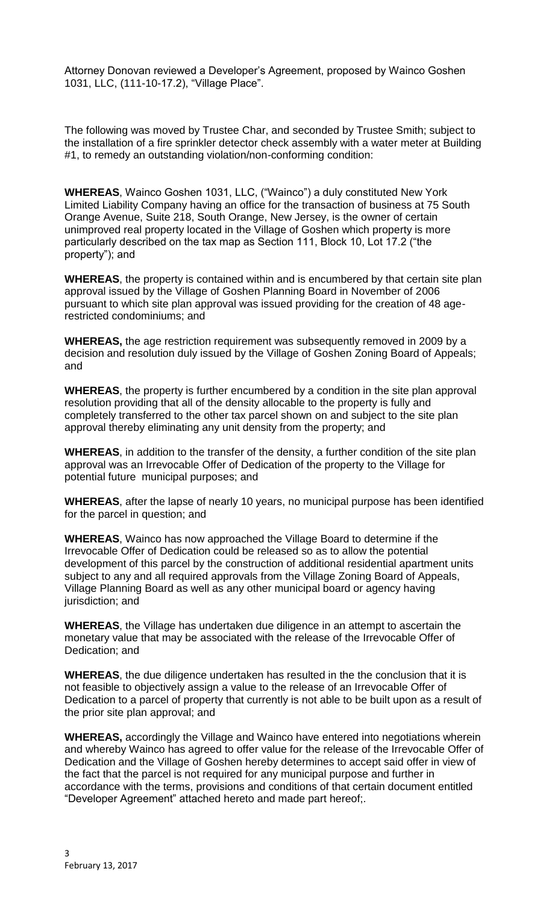Attorney Donovan reviewed a Developer's Agreement, proposed by Wainco Goshen 1031, LLC, (111-10-17.2), "Village Place".

The following was moved by Trustee Char, and seconded by Trustee Smith; subject to the installation of a fire sprinkler detector check assembly with a water meter at Building #1, to remedy an outstanding violation/non-conforming condition:

**WHEREAS**, Wainco Goshen 1031, LLC, ("Wainco") a duly constituted New York Limited Liability Company having an office for the transaction of business at 75 South Orange Avenue, Suite 218, South Orange, New Jersey, is the owner of certain unimproved real property located in the Village of Goshen which property is more particularly described on the tax map as Section 111, Block 10, Lot 17.2 ("the property"); and

**WHEREAS**, the property is contained within and is encumbered by that certain site plan approval issued by the Village of Goshen Planning Board in November of 2006 pursuant to which site plan approval was issued providing for the creation of 48 agerestricted condominiums; and

**WHEREAS,** the age restriction requirement was subsequently removed in 2009 by a decision and resolution duly issued by the Village of Goshen Zoning Board of Appeals; and

**WHEREAS**, the property is further encumbered by a condition in the site plan approval resolution providing that all of the density allocable to the property is fully and completely transferred to the other tax parcel shown on and subject to the site plan approval thereby eliminating any unit density from the property; and

**WHEREAS**, in addition to the transfer of the density, a further condition of the site plan approval was an Irrevocable Offer of Dedication of the property to the Village for potential future municipal purposes; and

**WHEREAS**, after the lapse of nearly 10 years, no municipal purpose has been identified for the parcel in question; and

**WHEREAS**, Wainco has now approached the Village Board to determine if the Irrevocable Offer of Dedication could be released so as to allow the potential development of this parcel by the construction of additional residential apartment units subject to any and all required approvals from the Village Zoning Board of Appeals, Village Planning Board as well as any other municipal board or agency having jurisdiction; and

**WHEREAS**, the Village has undertaken due diligence in an attempt to ascertain the monetary value that may be associated with the release of the Irrevocable Offer of Dedication; and

**WHEREAS**, the due diligence undertaken has resulted in the the conclusion that it is not feasible to objectively assign a value to the release of an Irrevocable Offer of Dedication to a parcel of property that currently is not able to be built upon as a result of the prior site plan approval; and

**WHEREAS,** accordingly the Village and Wainco have entered into negotiations wherein and whereby Wainco has agreed to offer value for the release of the Irrevocable Offer of Dedication and the Village of Goshen hereby determines to accept said offer in view of the fact that the parcel is not required for any municipal purpose and further in accordance with the terms, provisions and conditions of that certain document entitled "Developer Agreement" attached hereto and made part hereof;.